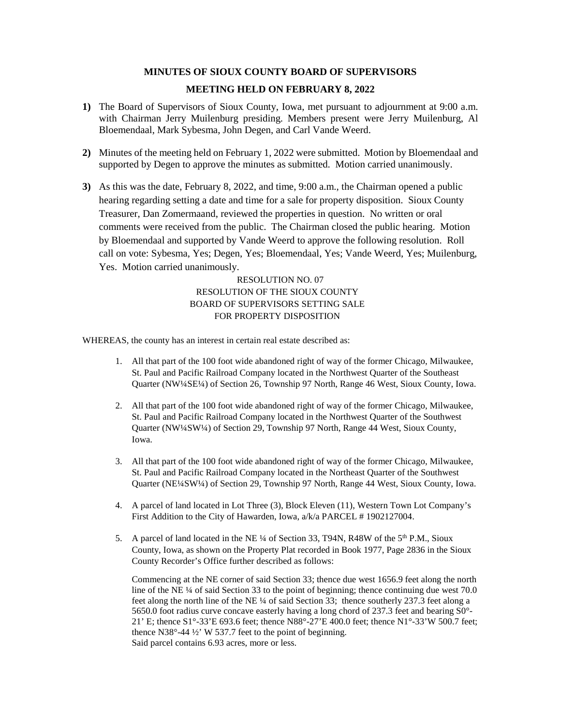# **MINUTES OF SIOUX COUNTY BOARD OF SUPERVISORS**

# **MEETING HELD ON FEBRUARY 8, 2022**

- **1)** The Board of Supervisors of Sioux County, Iowa, met pursuant to adjournment at 9:00 a.m. with Chairman Jerry Muilenburg presiding. Members present were Jerry Muilenburg, Al Bloemendaal, Mark Sybesma, John Degen, and Carl Vande Weerd.
- **2)** Minutes of the meeting held on February 1, 2022 were submitted. Motion by Bloemendaal and supported by Degen to approve the minutes as submitted. Motion carried unanimously.
- **3)** As this was the date, February 8, 2022, and time, 9:00 a.m., the Chairman opened a public hearing regarding setting a date and time for a sale for property disposition. Sioux County Treasurer, Dan Zomermaand, reviewed the properties in question. No written or oral comments were received from the public. The Chairman closed the public hearing. Motion by Bloemendaal and supported by Vande Weerd to approve the following resolution. Roll call on vote: Sybesma, Yes; Degen, Yes; Bloemendaal, Yes; Vande Weerd, Yes; Muilenburg, Yes. Motion carried unanimously.

RESOLUTION NO. 07 RESOLUTION OF THE SIOUX COUNTY BOARD OF SUPERVISORS SETTING SALE FOR PROPERTY DISPOSITION

WHEREAS, the county has an interest in certain real estate described as:

- 1. All that part of the 100 foot wide abandoned right of way of the former Chicago, Milwaukee, St. Paul and Pacific Railroad Company located in the Northwest Quarter of the Southeast Quarter (NW¼SE¼) of Section 26, Township 97 North, Range 46 West, Sioux County, Iowa.
- 2. All that part of the 100 foot wide abandoned right of way of the former Chicago, Milwaukee, St. Paul and Pacific Railroad Company located in the Northwest Quarter of the Southwest Quarter (NW¼SW¼) of Section 29, Township 97 North, Range 44 West, Sioux County, Iowa.
- 3. All that part of the 100 foot wide abandoned right of way of the former Chicago, Milwaukee, St. Paul and Pacific Railroad Company located in the Northeast Quarter of the Southwest Quarter (NE¼SW¼) of Section 29, Township 97 North, Range 44 West, Sioux County, Iowa.
- 4. A parcel of land located in Lot Three (3), Block Eleven (11), Western Town Lot Company's First Addition to the City of Hawarden, Iowa, a/k/a PARCEL # 1902127004.
- 5. A parcel of land located in the NE ¼ of Section 33, T94N, R48W of the 5<sup>th</sup> P.M., Sioux County, Iowa, as shown on the Property Plat recorded in Book 1977, Page 2836 in the Sioux County Recorder's Office further described as follows:

Commencing at the NE corner of said Section 33; thence due west 1656.9 feet along the north line of the NE ¼ of said Section 33 to the point of beginning; thence continuing due west 70.0 feet along the north line of the NE ¼ of said Section 33; thence southerly 237.3 feet along a 5650.0 foot radius curve concave easterly having a long chord of 237.3 feet and bearing S0°- 21' E; thence S1°-33'E 693.6 feet; thence N88°-27'E 400.0 feet; thence N1°-33'W 500.7 feet; thence N38°-44 ½' W 537.7 feet to the point of beginning. Said parcel contains 6.93 acres, more or less.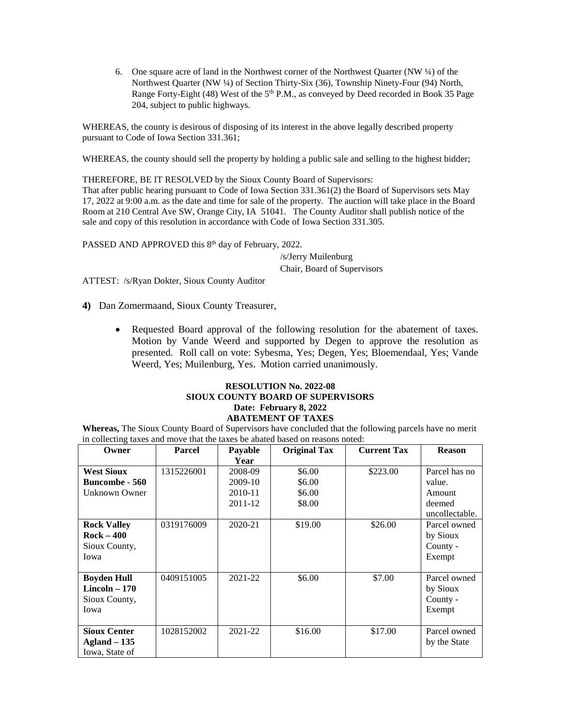6. One square acre of land in the Northwest corner of the Northwest Quarter (NW ¼) of the Northwest Quarter (NW ¼) of Section Thirty-Six (36), Township Ninety-Four (94) North, Range Forty-Eight (48) West of the  $5<sup>th</sup> P.M.,$  as conveyed by Deed recorded in Book 35 Page 204, subject to public highways.

WHEREAS, the county is desirous of disposing of its interest in the above legally described property pursuant to Code of Iowa Section 331.361;

WHEREAS, the county should sell the property by holding a public sale and selling to the highest bidder;

THEREFORE, BE IT RESOLVED by the Sioux County Board of Supervisors: That after public hearing pursuant to Code of Iowa Section 331.361(2) the Board of Supervisors sets May 17, 2022 at 9:00 a.m. as the date and time for sale of the property. The auction will take place in the Board Room at 210 Central Ave SW, Orange City, IA 51041. The County Auditor shall publish notice of the sale and copy of this resolution in accordance with Code of Iowa Section 331.305.

PASSED AND APPROVED this 8<sup>th</sup> day of February, 2022.

/s/Jerry Muilenburg Chair, Board of Supervisors

ATTEST: /s/Ryan Dokter, Sioux County Auditor

**4)** Dan Zomermaand, Sioux County Treasurer,

• Requested Board approval of the following resolution for the abatement of taxes. Motion by Vande Weerd and supported by Degen to approve the resolution as presented. Roll call on vote: Sybesma, Yes; Degen, Yes; Bloemendaal, Yes; Vande Weerd, Yes; Muilenburg, Yes. Motion carried unanimously.

#### **RESOLUTION No. 2022-08 SIOUX COUNTY BOARD OF SUPERVISORS Date: February 8, 2022 ABATEMENT OF TAXES**

**Whereas,** The Sioux County Board of Supervisors have concluded that the following parcels have no merit in collecting taxes and move that the taxes be abated based on reasons noted:

| Owner                 | <b>Parcel</b> | Payable | <b>Original Tax</b> | <b>Current Tax</b> | <b>Reason</b>  |
|-----------------------|---------------|---------|---------------------|--------------------|----------------|
|                       |               | Year    |                     |                    |                |
| <b>West Sioux</b>     | 1315226001    | 2008-09 | \$6.00              | \$223.00           | Parcel has no  |
| <b>Buncombe - 560</b> |               | 2009-10 | \$6.00              |                    | value.         |
| Unknown Owner         |               | 2010-11 | \$6.00              |                    | Amount         |
|                       |               | 2011-12 | \$8.00              |                    | deemed         |
|                       |               |         |                     |                    | uncollectable. |
| <b>Rock Valley</b>    | 0319176009    | 2020-21 | \$19.00             | \$26.00            | Parcel owned   |
| $Rock - 400$          |               |         |                     |                    | by Sioux       |
| Sioux County,         |               |         |                     |                    | County -       |
| Iowa                  |               |         |                     |                    | Exempt         |
|                       |               |         |                     |                    |                |
| <b>Boyden Hull</b>    | 0409151005    | 2021-22 | \$6.00              | \$7.00             | Parcel owned   |
| $Lincoh-170$          |               |         |                     |                    | by Sioux       |
| Sioux County,         |               |         |                     |                    | County -       |
| Iowa                  |               |         |                     |                    | Exempt         |
|                       |               |         |                     |                    |                |
| <b>Sioux Center</b>   | 1028152002    | 2021-22 | \$16.00             | \$17.00            | Parcel owned   |
| $Agland - 135$        |               |         |                     |                    | by the State   |
| Iowa, State of        |               |         |                     |                    |                |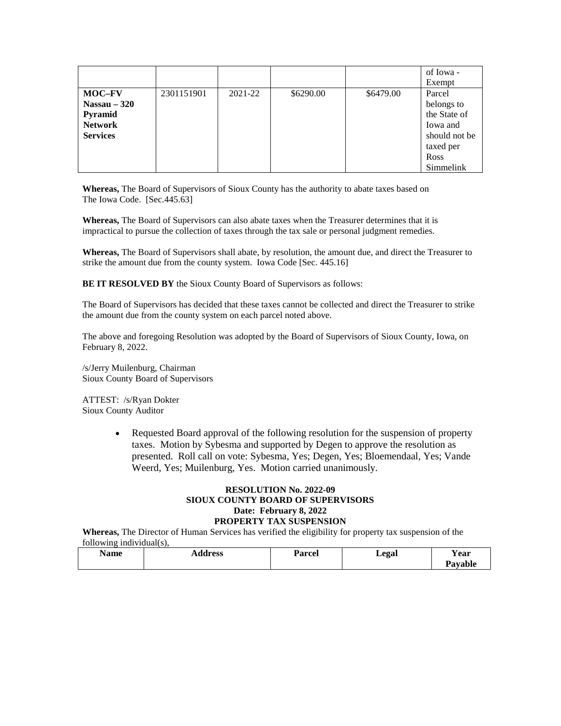|                                                                                       |            |         |           |           | of Iowa -<br>Exempt                                                                                 |
|---------------------------------------------------------------------------------------|------------|---------|-----------|-----------|-----------------------------------------------------------------------------------------------------|
| <b>MOC-FV</b><br>Nassau $-320$<br><b>Pyramid</b><br><b>Network</b><br><b>Services</b> | 2301151901 | 2021-22 | \$6290.00 | \$6479.00 | Parcel<br>belongs to<br>the State of<br>Iowa and<br>should not be<br>taxed per<br>Ross<br>Simmelink |

**Whereas,** The Board of Supervisors of Sioux County has the authority to abate taxes based on The Iowa Code. [Sec.445.63]

**Whereas,** The Board of Supervisors can also abate taxes when the Treasurer determines that it is impractical to pursue the collection of taxes through the tax sale or personal judgment remedies.

**Whereas,** The Board of Supervisors shall abate, by resolution, the amount due, and direct the Treasurer to strike the amount due from the county system. Iowa Code [Sec. 445.16]

**BE IT RESOLVED BY** the Sioux County Board of Supervisors as follows:

The Board of Supervisors has decided that these taxes cannot be collected and direct the Treasurer to strike the amount due from the county system on each parcel noted above.

The above and foregoing Resolution was adopted by the Board of Supervisors of Sioux County, Iowa, on February 8, 2022.

/s/Jerry Muilenburg, Chairman Sioux County Board of Supervisors

ATTEST: /s/Ryan Dokter Sioux County Auditor

> • Requested Board approval of the following resolution for the suspension of property taxes. Motion by Sybesma and supported by Degen to approve the resolution as presented. Roll call on vote: Sybesma, Yes; Degen, Yes; Bloemendaal, Yes; Vande Weerd, Yes; Muilenburg, Yes. Motion carried unanimously.

## **RESOLUTION No. 2022-09 SIOUX COUNTY BOARD OF SUPERVISORS Date: February 8, 2022 PROPERTY TAX SUSPENSION**

**Whereas,** The Director of Human Services has verified the eligibility for property tax suspension of the following individual(s),

| $ -$<br>Name | Address | n<br>Parcel | Legal | $ -$<br><b>Year</b> |
|--------------|---------|-------------|-------|---------------------|
|              |         |             |       | Povoble             |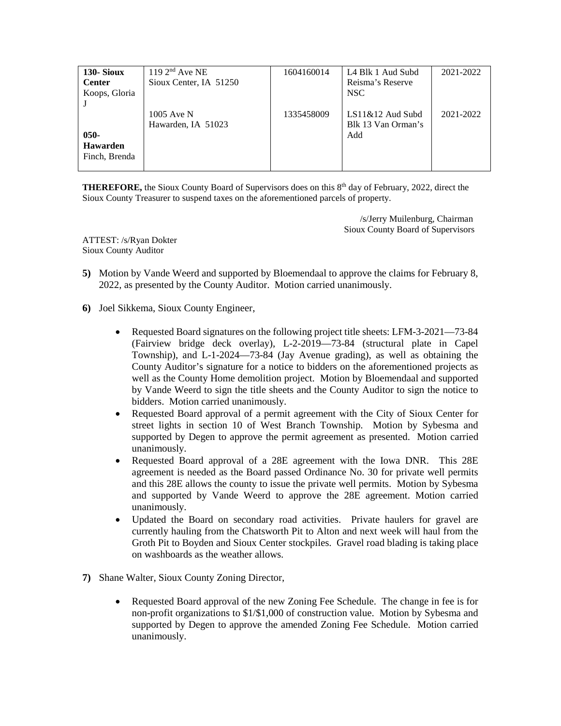| 130-Sioux       | $1192^{nd}$ Ave NE     | 1604160014 | L4 Blk 1 Aud Subd  | 2021-2022 |
|-----------------|------------------------|------------|--------------------|-----------|
| <b>Center</b>   | Sioux Center, IA 51250 |            | Reisma's Reserve   |           |
| Koops, Gloria   |                        |            | NSC.               |           |
|                 |                        |            |                    |           |
|                 | 1005 Ave N             | 1335458009 | $LS11&12$ Aud Subd | 2021-2022 |
|                 | Hawarden, IA 51023     |            | Blk 13 Van Orman's |           |
| $050 -$         |                        |            | Add                |           |
| <b>Hawarden</b> |                        |            |                    |           |
| Finch, Brenda   |                        |            |                    |           |
|                 |                        |            |                    |           |

**THEREFORE,** the Sioux County Board of Supervisors does on this 8<sup>th</sup> day of February, 2022, direct the Sioux County Treasurer to suspend taxes on the aforementioned parcels of property.

> /s/Jerry Muilenburg, Chairman Sioux County Board of Supervisors

ATTEST: /s/Ryan Dokter Sioux County Auditor

- **5)** Motion by Vande Weerd and supported by Bloemendaal to approve the claims for February 8, 2022, as presented by the County Auditor. Motion carried unanimously.
- **6)** Joel Sikkema, Sioux County Engineer,
	- Requested Board signatures on the following project title sheets: LFM-3-2021—73-84 (Fairview bridge deck overlay), L-2-2019—73-84 (structural plate in Capel Township), and L-1-2024—73-84 (Jay Avenue grading), as well as obtaining the County Auditor's signature for a notice to bidders on the aforementioned projects as well as the County Home demolition project. Motion by Bloemendaal and supported by Vande Weerd to sign the title sheets and the County Auditor to sign the notice to bidders. Motion carried unanimously.
	- Requested Board approval of a permit agreement with the City of Sioux Center for street lights in section 10 of West Branch Township. Motion by Sybesma and supported by Degen to approve the permit agreement as presented. Motion carried unanimously.
	- Requested Board approval of a 28E agreement with the Iowa DNR. This 28E agreement is needed as the Board passed Ordinance No. 30 for private well permits and this 28E allows the county to issue the private well permits. Motion by Sybesma and supported by Vande Weerd to approve the 28E agreement. Motion carried unanimously.
	- Updated the Board on secondary road activities. Private haulers for gravel are currently hauling from the Chatsworth Pit to Alton and next week will haul from the Groth Pit to Boyden and Sioux Center stockpiles. Gravel road blading is taking place on washboards as the weather allows.
- **7)** Shane Walter, Sioux County Zoning Director,
	- Requested Board approval of the new Zoning Fee Schedule. The change in fee is for non-profit organizations to \$1/\$1,000 of construction value. Motion by Sybesma and supported by Degen to approve the amended Zoning Fee Schedule. Motion carried unanimously.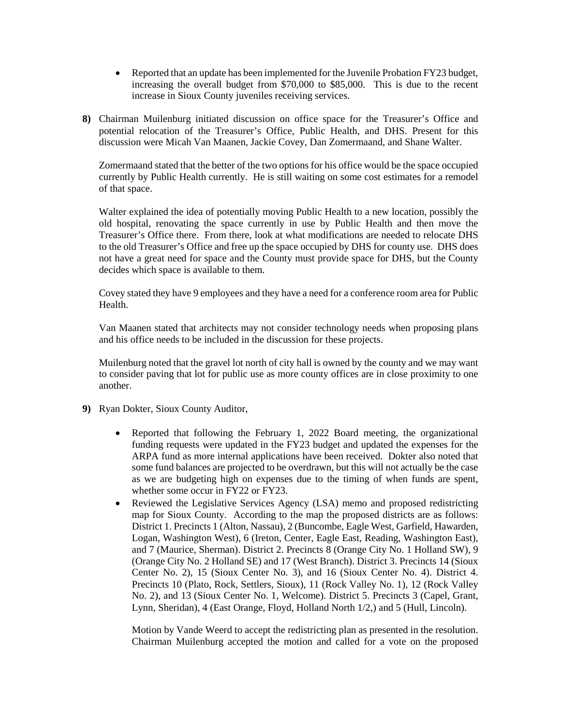- Reported that an update has been implemented for the Juvenile Probation FY23 budget, increasing the overall budget from \$70,000 to \$85,000. This is due to the recent increase in Sioux County juveniles receiving services.
- **8)** Chairman Muilenburg initiated discussion on office space for the Treasurer's Office and potential relocation of the Treasurer's Office, Public Health, and DHS. Present for this discussion were Micah Van Maanen, Jackie Covey, Dan Zomermaand, and Shane Walter.

Zomermaand stated that the better of the two options for his office would be the space occupied currently by Public Health currently. He is still waiting on some cost estimates for a remodel of that space.

Walter explained the idea of potentially moving Public Health to a new location, possibly the old hospital, renovating the space currently in use by Public Health and then move the Treasurer's Office there. From there, look at what modifications are needed to relocate DHS to the old Treasurer's Office and free up the space occupied by DHS for county use. DHS does not have a great need for space and the County must provide space for DHS, but the County decides which space is available to them.

Covey stated they have 9 employees and they have a need for a conference room area for Public Health.

Van Maanen stated that architects may not consider technology needs when proposing plans and his office needs to be included in the discussion for these projects.

Muilenburg noted that the gravel lot north of city hall is owned by the county and we may want to consider paving that lot for public use as more county offices are in close proximity to one another.

- **9)** Ryan Dokter, Sioux County Auditor,
	- Reported that following the February 1, 2022 Board meeting, the organizational funding requests were updated in the FY23 budget and updated the expenses for the ARPA fund as more internal applications have been received. Dokter also noted that some fund balances are projected to be overdrawn, but this will not actually be the case as we are budgeting high on expenses due to the timing of when funds are spent, whether some occur in FY22 or FY23.
	- Reviewed the Legislative Services Agency (LSA) memo and proposed redistricting map for Sioux County. According to the map the proposed districts are as follows: District 1. Precincts 1 (Alton, Nassau), 2 (Buncombe, Eagle West, Garfield, Hawarden, Logan, Washington West), 6 (Ireton, Center, Eagle East, Reading, Washington East), and 7 (Maurice, Sherman). District 2. Precincts 8 (Orange City No. 1 Holland SW), 9 (Orange City No. 2 Holland SE) and 17 (West Branch). District 3. Precincts 14 (Sioux Center No. 2), 15 (Sioux Center No. 3), and 16 (Sioux Center No. 4). District 4. Precincts 10 (Plato, Rock, Settlers, Sioux), 11 (Rock Valley No. 1), 12 (Rock Valley No. 2), and 13 (Sioux Center No. 1, Welcome). District 5. Precincts 3 (Capel, Grant, Lynn, Sheridan), 4 (East Orange, Floyd, Holland North 1/2,) and 5 (Hull, Lincoln).

Motion by Vande Weerd to accept the redistricting plan as presented in the resolution. Chairman Muilenburg accepted the motion and called for a vote on the proposed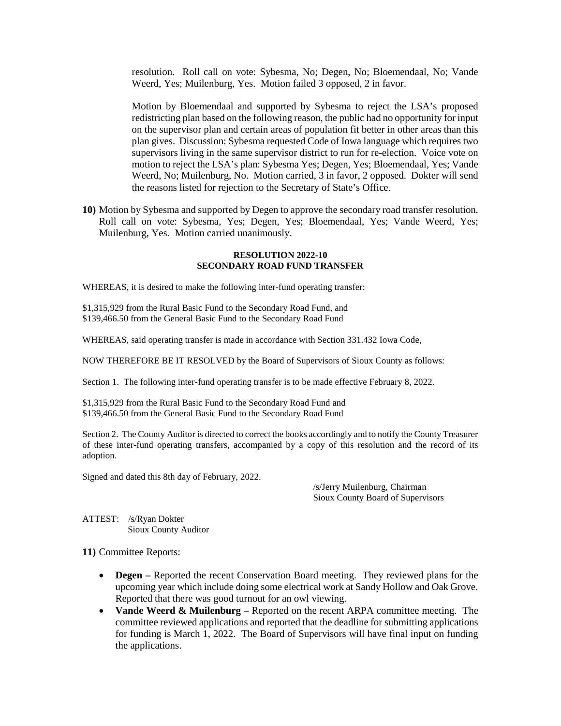resolution. Roll call on vote: Sybesma, No; Degen, No; Bloemendaal, No; Vande Weerd, Yes; Muilenburg, Yes. Motion failed 3 opposed, 2 in favor.

Motion by Bloemendaal and supported by Sybesma to reject the LSA's proposed redistricting plan based on the following reason, the public had no opportunity for input on the supervisor plan and certain areas of population fit better in other areas than this plan gives. Discussion: Sybesma requested Code of Iowa language which requires two supervisors living in the same supervisor district to run for re-election. Voice vote on motion to reject the LSA's plan: Sybesma Yes; Degen, Yes; Bloemendaal, Yes; Vande Weerd, No; Muilenburg, No. Motion carried, 3 in favor, 2 opposed. Dokter will send the reasons listed for rejection to the Secretary of State's Office.

**10)** Motion by Sybesma and supported by Degen to approve the secondary road transfer resolution. Roll call on vote: Sybesma, Yes; Degen, Yes; Bloemendaal, Yes; Vande Weerd, Yes; Muilenburg, Yes. Motion carried unanimously.

## **RESOLUTION 2022-10 SECONDARY ROAD FUND TRANSFER**

WHEREAS, it is desired to make the following inter-fund operating transfer:

\$1,315,929 from the Rural Basic Fund to the Secondary Road Fund, and \$139,466.50 from the General Basic Fund to the Secondary Road Fund

WHEREAS, said operating transfer is made in accordance with Section 331.432 Iowa Code,

NOW THEREFORE BE IT RESOLVED by the Board of Supervisors of Sioux County as follows:

Section 1. The following inter-fund operating transfer is to be made effective February 8, 2022.

\$1,315,929 from the Rural Basic Fund to the Secondary Road Fund and \$139,466.50 from the General Basic Fund to the Secondary Road Fund

Section 2. The County Auditor is directed to correct the books accordingly and to notify the County Treasurer of these inter-fund operating transfers, accompanied by a copy of this resolution and the record of its adoption.

Signed and dated this 8th day of February, 2022.

/s/Jerry Muilenburg, Chairman Sioux County Board of Supervisors

ATTEST: /s/Ryan Dokter Sioux County Auditor

**11)** Committee Reports:

- **Degen** Reported the recent Conservation Board meeting. They reviewed plans for the upcoming year which include doing some electrical work at Sandy Hollow and Oak Grove. Reported that there was good turnout for an owl viewing.
- **Vande Weerd & Muilenburg**  Reported on the recent ARPA committee meeting. The committee reviewed applications and reported that the deadline for submitting applications for funding is March 1, 2022. The Board of Supervisors will have final input on funding the applications.